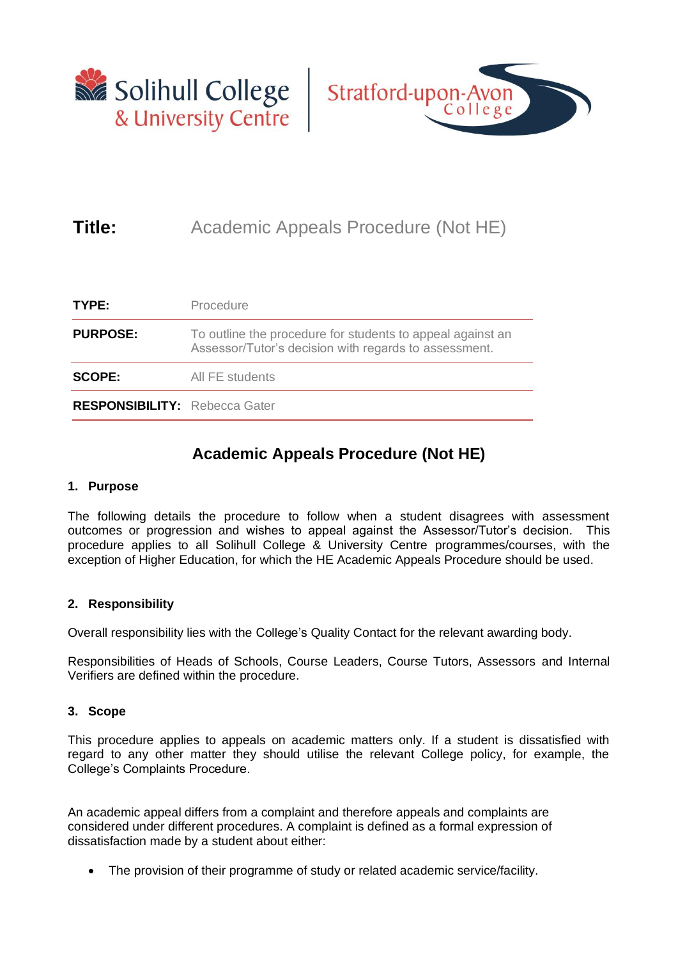



## **Title:** Academic Appeals Procedure (Not HE)

| TYPE:                                | Procedure                                                                                                           |
|--------------------------------------|---------------------------------------------------------------------------------------------------------------------|
| <b>PURPOSE:</b>                      | To outline the procedure for students to appeal against an<br>Assessor/Tutor's decision with regards to assessment. |
| <b>SCOPE:</b>                        | All FE students                                                                                                     |
| <b>RESPONSIBILITY: Rebecca Gater</b> |                                                                                                                     |

### **Academic Appeals Procedure (Not HE)**

#### **1. Purpose**

The following details the procedure to follow when a student disagrees with assessment outcomes or progression and wishes to appeal against the Assessor/Tutor's decision. This procedure applies to all Solihull College & University Centre programmes/courses, with the exception of Higher Education, for which the HE Academic Appeals Procedure should be used.

#### **2. Responsibility**

Overall responsibility lies with the College's Quality Contact for the relevant awarding body.

Responsibilities of Heads of Schools, Course Leaders, Course Tutors, Assessors and Internal Verifiers are defined within the procedure.

#### **3. Scope**

This procedure applies to appeals on academic matters only. If a student is dissatisfied with regard to any other matter they should utilise the relevant College policy, for example, the College's Complaints Procedure.

An academic appeal differs from a complaint and therefore appeals and complaints are considered under different procedures. A complaint is defined as a formal expression of dissatisfaction made by a student about either:

The provision of their programme of study or related academic service/facility.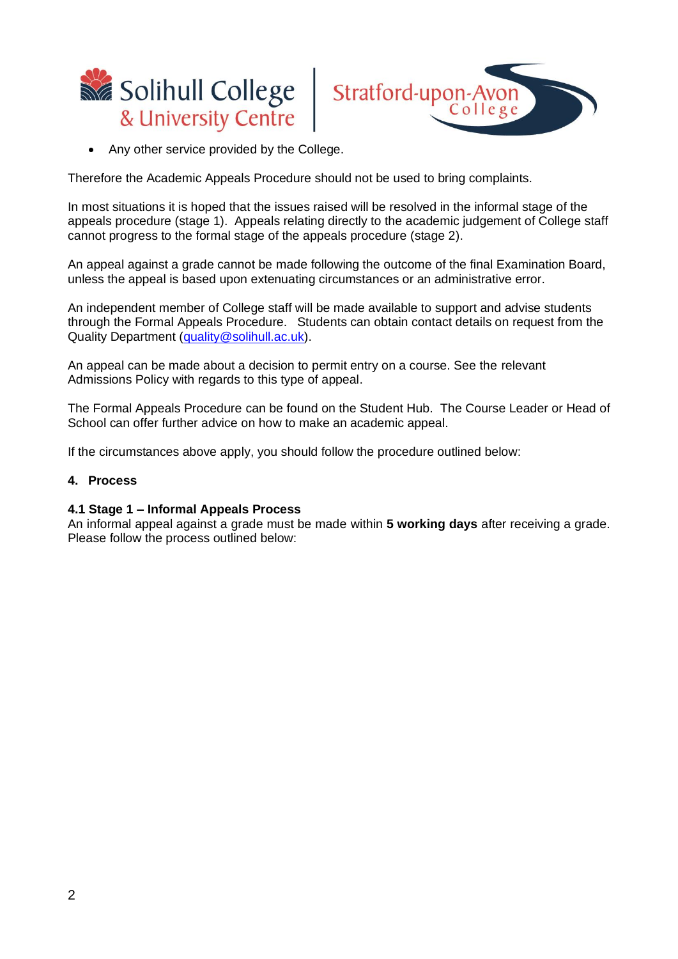



Any other service provided by the College.

Therefore the Academic Appeals Procedure should not be used to bring complaints.

In most situations it is hoped that the issues raised will be resolved in the informal stage of the appeals procedure (stage 1). Appeals relating directly to the academic judgement of College staff cannot progress to the formal stage of the appeals procedure (stage 2).

An appeal against a grade cannot be made following the outcome of the final Examination Board, unless the appeal is based upon extenuating circumstances or an administrative error.

An independent member of College staff will be made available to support and advise students through the Formal Appeals Procedure. Students can obtain contact details on request from the Quality Department [\(quality@solihull.ac.uk\)](mailto:quality@solihull.ac.uk).

An appeal can be made about a decision to permit entry on a course. See the relevant Admissions Policy with regards to this type of appeal.

The Formal Appeals Procedure can be found on the Student Hub. The Course Leader or Head of School can offer further advice on how to make an academic appeal.

If the circumstances above apply, you should follow the procedure outlined below:

#### **4. Process**

#### **4.1 Stage 1 – Informal Appeals Process**

An informal appeal against a grade must be made within **5 working days** after receiving a grade. Please follow the process outlined below: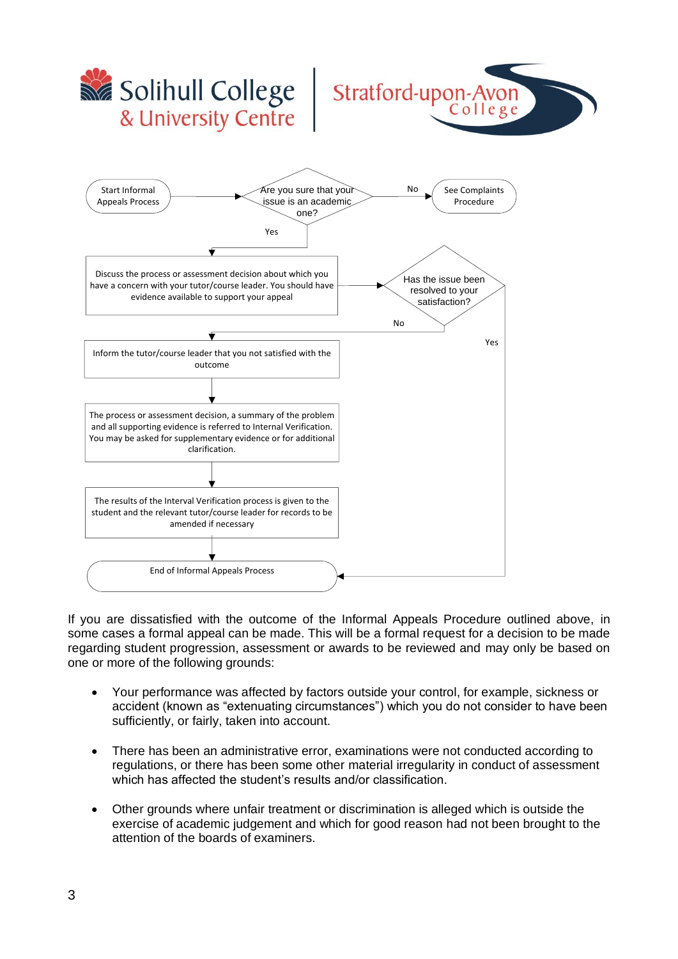

If you are dissatisfied with the outcome of the Informal Appeals Procedure outlined above, in some cases a formal appeal can be made. This will be a formal request for a decision to be made regarding student progression, assessment or awards to be reviewed and may only be based on one or more of the following grounds:

- Your performance was affected by factors outside your control, for example, sickness or accident (known as "extenuating circumstances") which you do not consider to have been sufficiently, or fairly, taken into account.
- There has been an administrative error, examinations were not conducted according to regulations, or there has been some other material irregularity in conduct of assessment which has affected the student's results and/or classification.
- Other grounds where unfair treatment or discrimination is alleged which is outside the exercise of academic judgement and which for good reason had not been brought to the attention of the boards of examiners.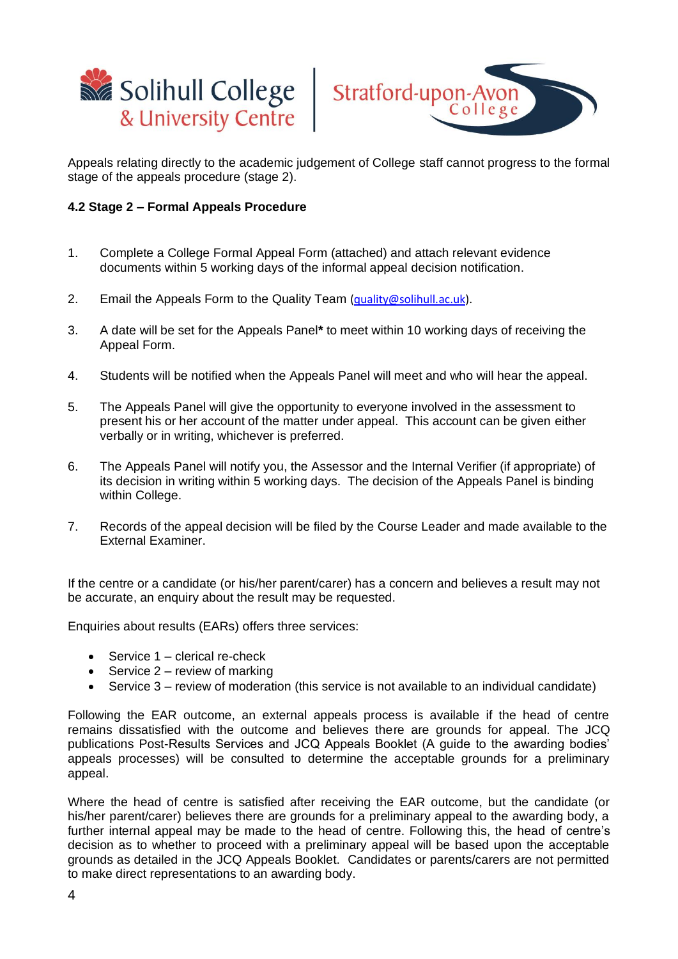



Appeals relating directly to the academic judgement of College staff cannot progress to the formal stage of the appeals procedure (stage 2).

#### **4.2 Stage 2 – Formal Appeals Procedure**

- 1. Complete a College Formal Appeal Form (attached) and attach relevant evidence documents within 5 working days of the informal appeal decision notification.
- 2. Email the Appeals Form to the Quality Team (quality  $\omega$ solihull.ac.uk).
- 3. A date will be set for the Appeals Panel**\*** to meet within 10 working days of receiving the Appeal Form.
- 4. Students will be notified when the Appeals Panel will meet and who will hear the appeal.
- 5. The Appeals Panel will give the opportunity to everyone involved in the assessment to present his or her account of the matter under appeal. This account can be given either verbally or in writing, whichever is preferred.
- 6. The Appeals Panel will notify you, the Assessor and the Internal Verifier (if appropriate) of its decision in writing within 5 working days. The decision of the Appeals Panel is binding within College.
- 7. Records of the appeal decision will be filed by the Course Leader and made available to the External Examiner.

If the centre or a candidate (or his/her parent/carer) has a concern and believes a result may not be accurate, an enquiry about the result may be requested.

Enquiries about results (EARs) offers three services:

- Service 1 clerical re-check
- Service  $2 -$  review of marking
- Service 3 review of moderation (this service is not available to an individual candidate)

Following the EAR outcome, an external appeals process is available if the head of centre remains dissatisfied with the outcome and believes there are grounds for appeal. The JCQ publications Post-Results Services and JCQ Appeals Booklet (A guide to the awarding bodies' appeals processes) will be consulted to determine the acceptable grounds for a preliminary appeal.

Where the head of centre is satisfied after receiving the EAR outcome, but the candidate (or his/her parent/carer) believes there are grounds for a preliminary appeal to the awarding body, a further internal appeal may be made to the head of centre. Following this, the head of centre's decision as to whether to proceed with a preliminary appeal will be based upon the acceptable grounds as detailed in the JCQ Appeals Booklet. Candidates or parents/carers are not permitted to make direct representations to an awarding body.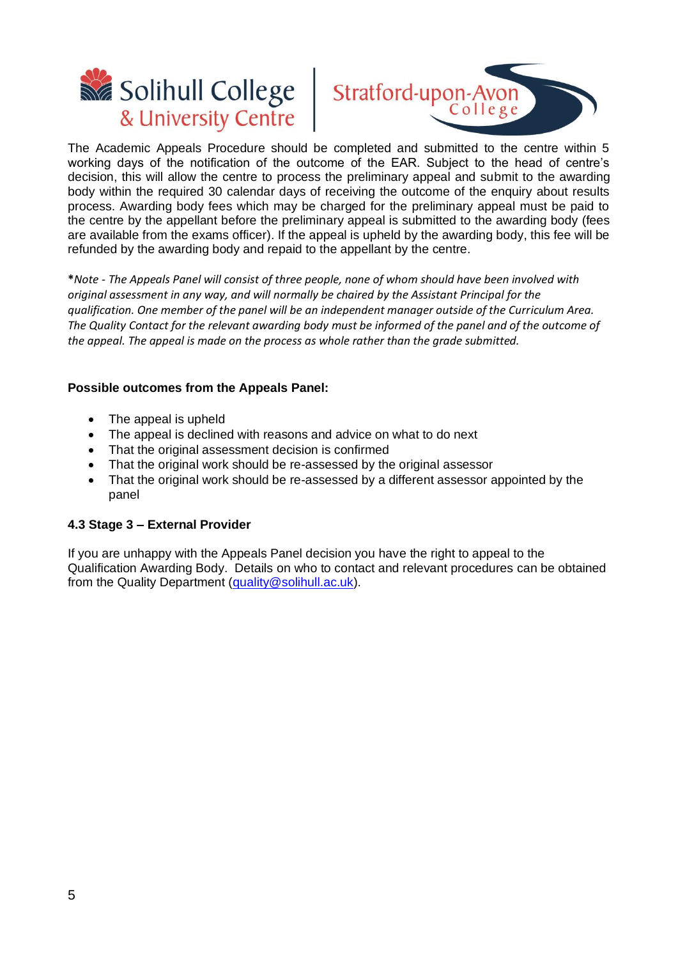



The Academic Appeals Procedure should be completed and submitted to the centre within 5 working days of the notification of the outcome of the EAR. Subject to the head of centre's decision, this will allow the centre to process the preliminary appeal and submit to the awarding body within the required 30 calendar days of receiving the outcome of the enquiry about results process. Awarding body fees which may be charged for the preliminary appeal must be paid to the centre by the appellant before the preliminary appeal is submitted to the awarding body (fees are available from the exams officer). If the appeal is upheld by the awarding body, this fee will be refunded by the awarding body and repaid to the appellant by the centre.

**\****Note - The Appeals Panel will consist of three people, none of whom should have been involved with original assessment in any way, and will normally be chaired by the Assistant Principal for the qualification. One member of the panel will be an independent manager outside of the Curriculum Area. The Quality Contact for the relevant awarding body must be informed of the panel and of the outcome of the appeal. The appeal is made on the process as whole rather than the grade submitted.*

#### **Possible outcomes from the Appeals Panel:**

- The appeal is upheld
- The appeal is declined with reasons and advice on what to do next
- That the original assessment decision is confirmed
- That the original work should be re-assessed by the original assessor
- That the original work should be re-assessed by a different assessor appointed by the panel

#### **4.3 Stage 3 – External Provider**

If you are unhappy with the Appeals Panel decision you have the right to appeal to the Qualification Awarding Body. Details on who to contact and relevant procedures can be obtained from the Quality Department [\(quality@solihull.ac.uk\)](mailto:quality@solihull.ac.uk).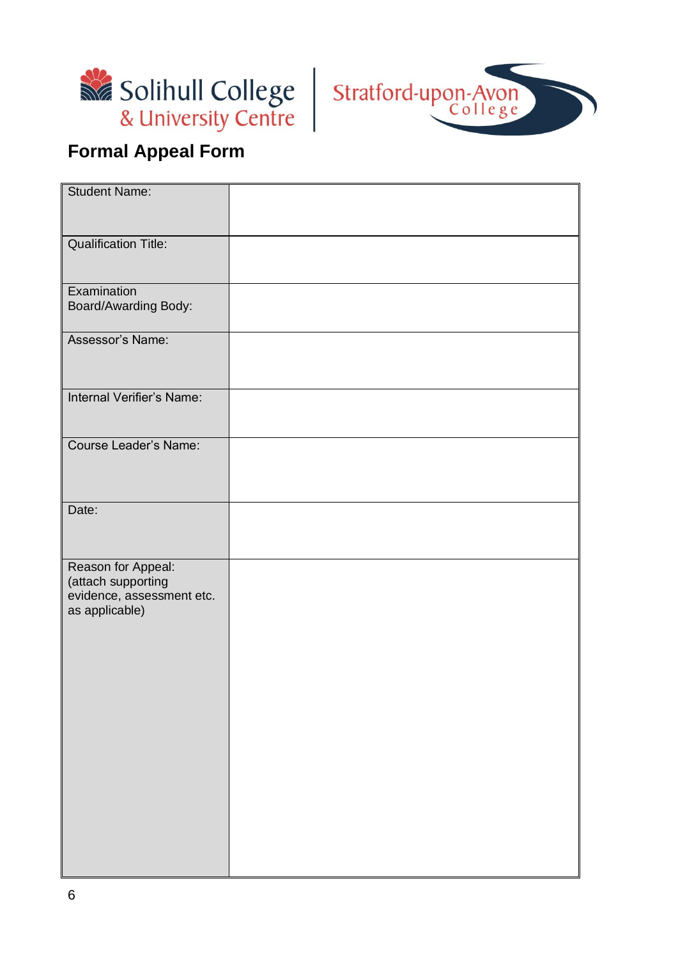



# **Formal Appeal Form**

| <b>Student Name:</b>                                                                    |  |
|-----------------------------------------------------------------------------------------|--|
| <b>Qualification Title:</b>                                                             |  |
|                                                                                         |  |
| Examination<br>Board/Awarding Body:                                                     |  |
| Assessor's Name:                                                                        |  |
| Internal Verifier's Name:                                                               |  |
| Course Leader's Name:                                                                   |  |
| Date:                                                                                   |  |
| Reason for Appeal:<br>(attach supporting<br>evidence, assessment etc.<br>as applicable) |  |